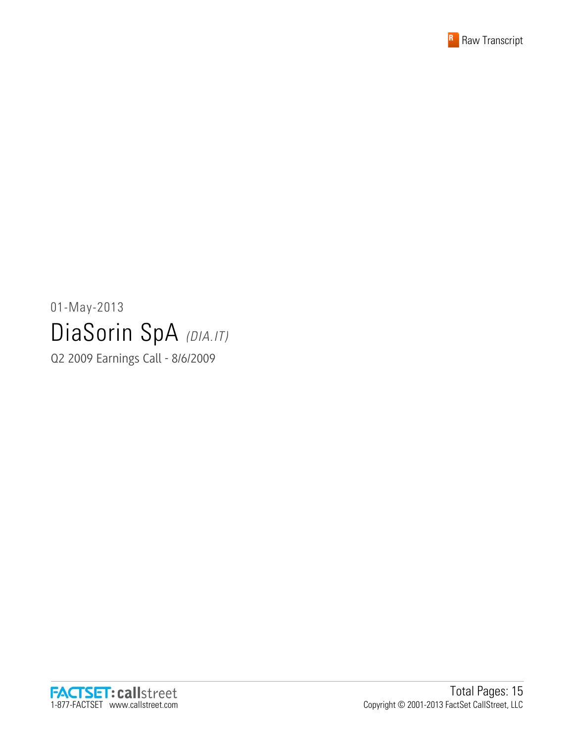

#### 01-May-2013 DiaSorin SpA (DIA.IT)

Q2 2009 Earnings Call - 8/6/2009

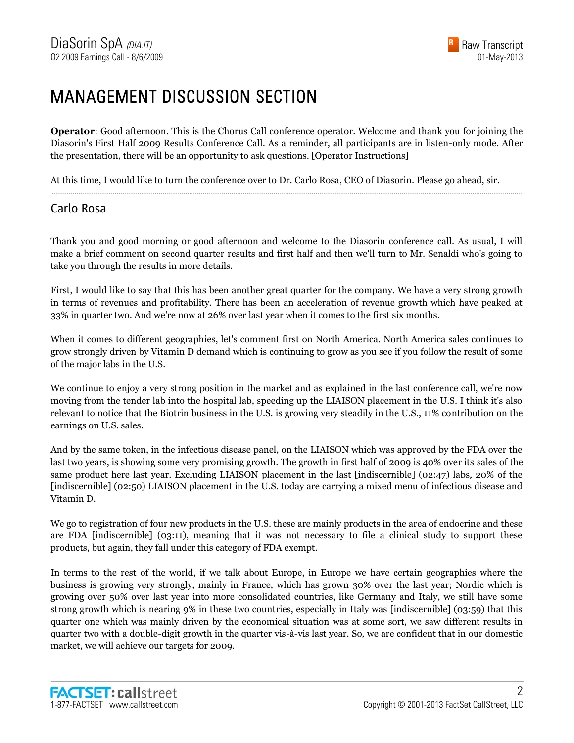#### MANAGEMENT DISCUSSION SECTION

**Operator**: Good afternoon. This is the Chorus Call conference operator. Welcome and thank you for joining the Diasorin's First Half 2009 Results Conference Call. As a reminder, all participants are in listen-only mode. After the presentation, there will be an opportunity to ask questions. [Operator Instructions]

......................................................................................................................................................................................................................................................

At this time, I would like to turn the conference over to Dr. Carlo Rosa, CEO of Diasorin. Please go ahead, sir.

#### Carlo Rosa

Thank you and good morning or good afternoon and welcome to the Diasorin conference call. As usual, I will make a brief comment on second quarter results and first half and then we'll turn to Mr. Senaldi who's going to take you through the results in more details.

First, I would like to say that this has been another great quarter for the company. We have a very strong growth in terms of revenues and profitability. There has been an acceleration of revenue growth which have peaked at 33% in quarter two. And we're now at 26% over last year when it comes to the first six months.

When it comes to different geographies, let's comment first on North America. North America sales continues to grow strongly driven by Vitamin D demand which is continuing to grow as you see if you follow the result of some of the major labs in the U.S.

We continue to enjoy a very strong position in the market and as explained in the last conference call, we're now moving from the tender lab into the hospital lab, speeding up the LIAISON placement in the U.S. I think it's also relevant to notice that the Biotrin business in the U.S. is growing very steadily in the U.S., 11% contribution on the earnings on U.S. sales.

And by the same token, in the infectious disease panel, on the LIAISON which was approved by the FDA over the last two years, is showing some very promising growth. The growth in first half of 2009 is 40% over its sales of the same product here last year. Excluding LIAISON placement in the last [indiscernible] (02:47) labs, 20% of the [indiscernible] (02:50) LIAISON placement in the U.S. today are carrying a mixed menu of infectious disease and Vitamin D.

We go to registration of four new products in the U.S. these are mainly products in the area of endocrine and these are FDA [indiscernible] (03:11), meaning that it was not necessary to file a clinical study to support these products, but again, they fall under this category of FDA exempt.

In terms to the rest of the world, if we talk about Europe, in Europe we have certain geographies where the business is growing very strongly, mainly in France, which has grown 30% over the last year; Nordic which is growing over 50% over last year into more consolidated countries, like Germany and Italy, we still have some strong growth which is nearing 9% in these two countries, especially in Italy was [indiscernible] (03:59) that this quarter one which was mainly driven by the economical situation was at some sort, we saw different results in quarter two with a double-digit growth in the quarter vis-à-vis last year. So, we are confident that in our domestic market, we will achieve our targets for 2009.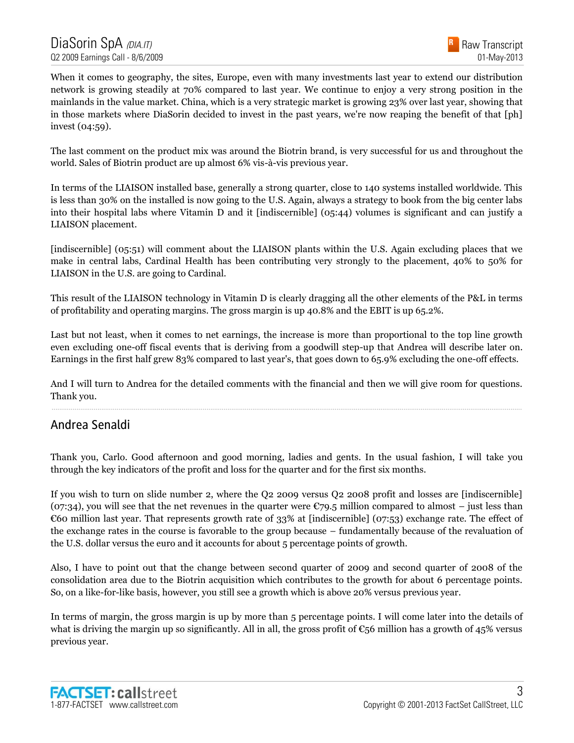

When it comes to geography, the sites, Europe, even with many investments last year to extend our distribution network is growing steadily at 70% compared to last year. We continue to enjoy a very strong position in the mainlands in the value market. China, which is a very strategic market is growing 23% over last year, showing that in those markets where DiaSorin decided to invest in the past years, we're now reaping the benefit of that [ph] invest (04:59).

The last comment on the product mix was around the Biotrin brand, is very successful for us and throughout the world. Sales of Biotrin product are up almost 6% vis-à-vis previous year.

In terms of the LIAISON installed base, generally a strong quarter, close to 140 systems installed worldwide. This is less than 30% on the installed is now going to the U.S. Again, always a strategy to book from the big center labs into their hospital labs where Vitamin D and it [indiscernible] (05:44) volumes is significant and can justify a LIAISON placement.

[indiscernible] (05:51) will comment about the LIAISON plants within the U.S. Again excluding places that we make in central labs, Cardinal Health has been contributing very strongly to the placement, 40% to 50% for LIAISON in the U.S. are going to Cardinal.

This result of the LIAISON technology in Vitamin D is clearly dragging all the other elements of the P&L in terms of profitability and operating margins. The gross margin is up 40.8% and the EBIT is up 65.2%.

Last but not least, when it comes to net earnings, the increase is more than proportional to the top line growth even excluding one-off fiscal events that is deriving from a goodwill step-up that Andrea will describe later on. Earnings in the first half grew 83% compared to last year's, that goes down to 65.9% excluding the one-off effects.

And I will turn to Andrea for the detailed comments with the financial and then we will give room for questions. Thank you. ......................................................................................................................................................................................................................................................

#### Andrea Senaldi

Thank you, Carlo. Good afternoon and good morning, ladies and gents. In the usual fashion, I will take you through the key indicators of the profit and loss for the quarter and for the first six months.

If you wish to turn on slide number 2, where the Q2 2009 versus Q2 2008 profit and losses are [indiscernible] (07:34), you will see that the net revenues in the quarter were  $\epsilon$ 79.5 million compared to almost – just less than €60 million last year. That represents growth rate of 33% at [indiscernible] (07:53) exchange rate. The effect of the exchange rates in the course is favorable to the group because – fundamentally because of the revaluation of the U.S. dollar versus the euro and it accounts for about 5 percentage points of growth.

Also, I have to point out that the change between second quarter of 2009 and second quarter of 2008 of the consolidation area due to the Biotrin acquisition which contributes to the growth for about 6 percentage points. So, on a like-for-like basis, however, you still see a growth which is above 20% versus previous year.

In terms of margin, the gross margin is up by more than 5 percentage points. I will come later into the details of what is driving the margin up so significantly. All in all, the gross profit of  $\epsilon_{56}$  million has a growth of 45% versus previous year.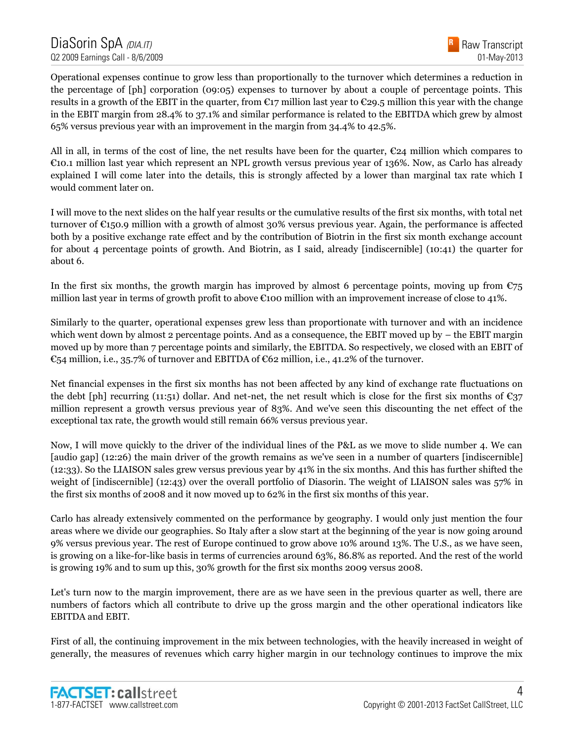Operational expenses continue to grow less than proportionally to the turnover which determines a reduction in the percentage of [ph] corporation (09:05) expenses to turnover by about a couple of percentage points. This results in a growth of the EBIT in the quarter, from  $\epsilon_{17}$  million last year to  $\epsilon_{29.5}$  million this year with the change in the EBIT margin from 28.4% to 37.1% and similar performance is related to the EBITDA which grew by almost 65% versus previous year with an improvement in the margin from 34.4% to 42.5%.

All in all, in terms of the cost of line, the net results have been for the quarter,  $\epsilon$ 24 million which compares to €10.1 million last year which represent an NPL growth versus previous year of 136%. Now, as Carlo has already explained I will come later into the details, this is strongly affected by a lower than marginal tax rate which I would comment later on.

I will move to the next slides on the half year results or the cumulative results of the first six months, with total net turnover of €150.9 million with a growth of almost 30% versus previous year. Again, the performance is affected both by a positive exchange rate effect and by the contribution of Biotrin in the first six month exchange account for about 4 percentage points of growth. And Biotrin, as I said, already [indiscernible] (10:41) the quarter for about 6.

In the first six months, the growth margin has improved by almost 6 percentage points, moving up from  $\epsilon$ 75 million last year in terms of growth profit to above  $\epsilon$ 100 million with an improvement increase of close to 41%.

Similarly to the quarter, operational expenses grew less than proportionate with turnover and with an incidence which went down by almost 2 percentage points. And as a consequence, the EBIT moved up by – the EBIT margin moved up by more than 7 percentage points and similarly, the EBITDA. So respectively, we closed with an EBIT of €54 million, i.e., 35.7% of turnover and EBITDA of €62 million, i.e., 41.2% of the turnover.

Net financial expenses in the first six months has not been affected by any kind of exchange rate fluctuations on the debt [ph] recurring (11:51) dollar. And net-net, the net result which is close for the first six months of  $\epsilon_{37}$ million represent a growth versus previous year of 83%. And we've seen this discounting the net effect of the exceptional tax rate, the growth would still remain 66% versus previous year.

Now, I will move quickly to the driver of the individual lines of the P&L as we move to slide number 4. We can [audio gap] (12:26) the main driver of the growth remains as we've seen in a number of quarters [indiscernible] (12:33). So the LIAISON sales grew versus previous year by 41% in the six months. And this has further shifted the weight of [indiscernible] (12:43) over the overall portfolio of Diasorin. The weight of LIAISON sales was 57% in the first six months of 2008 and it now moved up to 62% in the first six months of this year.

Carlo has already extensively commented on the performance by geography. I would only just mention the four areas where we divide our geographies. So Italy after a slow start at the beginning of the year is now going around 9% versus previous year. The rest of Europe continued to grow above 10% around 13%. The U.S., as we have seen, is growing on a like-for-like basis in terms of currencies around 63%, 86.8% as reported. And the rest of the world is growing 19% and to sum up this, 30% growth for the first six months 2009 versus 2008.

Let's turn now to the margin improvement, there are as we have seen in the previous quarter as well, there are numbers of factors which all contribute to drive up the gross margin and the other operational indicators like EBITDA and EBIT.

First of all, the continuing improvement in the mix between technologies, with the heavily increased in weight of generally, the measures of revenues which carry higher margin in our technology continues to improve the mix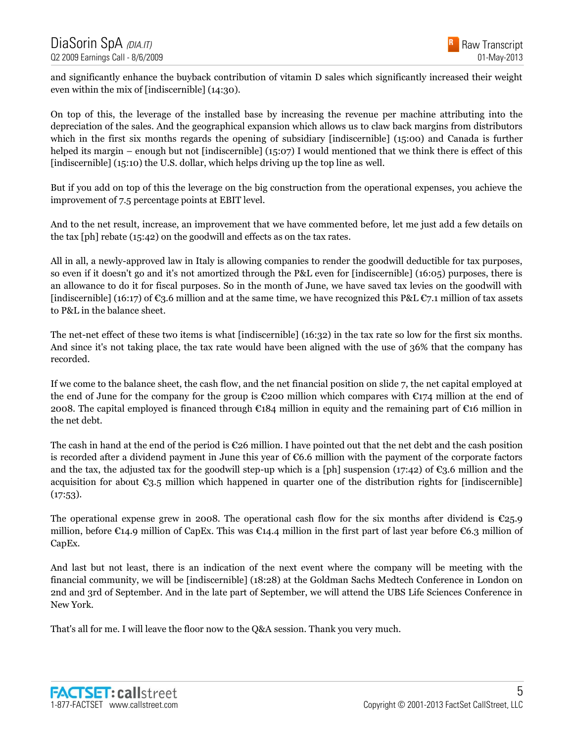and significantly enhance the buyback contribution of vitamin D sales which significantly increased their weight even within the mix of [indiscernible] (14:30).

On top of this, the leverage of the installed base by increasing the revenue per machine attributing into the depreciation of the sales. And the geographical expansion which allows us to claw back margins from distributors which in the first six months regards the opening of subsidiary [indiscernible] (15:00) and Canada is further helped its margin – enough but not [indiscernible] (15:07) I would mentioned that we think there is effect of this [indiscernible] (15:10) the U.S. dollar, which helps driving up the top line as well.

But if you add on top of this the leverage on the big construction from the operational expenses, you achieve the improvement of 7.5 percentage points at EBIT level.

And to the net result, increase, an improvement that we have commented before, let me just add a few details on the tax [ph] rebate (15:42) on the goodwill and effects as on the tax rates.

All in all, a newly-approved law in Italy is allowing companies to render the goodwill deductible for tax purposes, so even if it doesn't go and it's not amortized through the P&L even for [indiscernible] (16:05) purposes, there is an allowance to do it for fiscal purposes. So in the month of June, we have saved tax levies on the goodwill with [indiscernible] (16:17) of  $\epsilon_3$ .6 million and at the same time, we have recognized this P&L  $\epsilon_7$ .1 million of tax assets to P&L in the balance sheet.

The net-net effect of these two items is what [indiscernible] (16:32) in the tax rate so low for the first six months. And since it's not taking place, the tax rate would have been aligned with the use of 36% that the company has recorded.

If we come to the balance sheet, the cash flow, and the net financial position on slide 7, the net capital employed at the end of June for the company for the group is  $\epsilon$ 200 million which compares with  $\epsilon$ 174 million at the end of 2008. The capital employed is financed through €184 million in equity and the remaining part of €16 million in the net debt.

The cash in hand at the end of the period is  $\mathfrak{C}26$  million. I have pointed out that the net debt and the cash position is recorded after a dividend payment in June this year of €6.6 million with the payment of the corporate factors and the tax, the adjusted tax for the goodwill step-up which is a [ph] suspension (17:42) of  $\mathfrak{C}_3$ .6 million and the acquisition for about  $\epsilon_{3.5}$  million which happened in quarter one of the distribution rights for [indiscernible]  $(17:53)$ .

The operational expense grew in 2008. The operational cash flow for the six months after dividend is  $\epsilon_{25.9}$ million, before  $\epsilon$ 14.9 million of CapEx. This was  $\epsilon$ 14.4 million in the first part of last year before  $\epsilon$ 6.3 million of CapEx.

And last but not least, there is an indication of the next event where the company will be meeting with the financial community, we will be [indiscernible] (18:28) at the Goldman Sachs Medtech Conference in London on 2nd and 3rd of September. And in the late part of September, we will attend the UBS Life Sciences Conference in New York.

That's all for me. I will leave the floor now to the Q&A session. Thank you very much.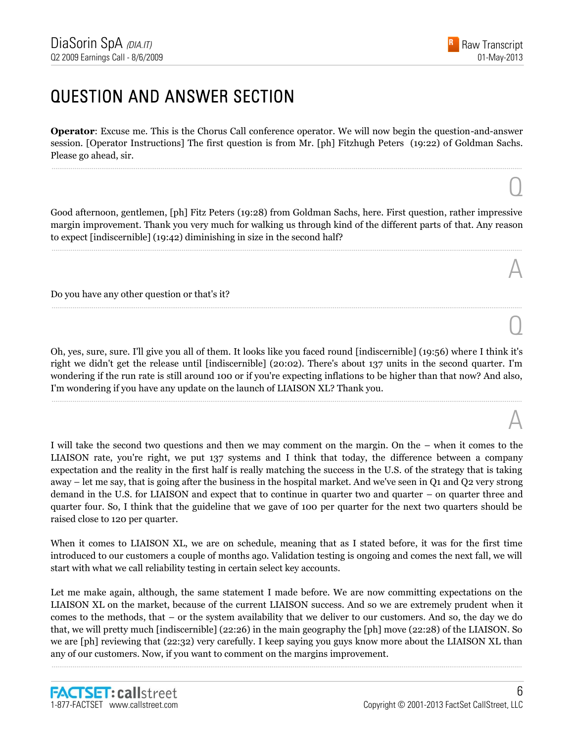$\overline{O}$ 

A

 $\overline{O}$ 

A

#### QUESTION AND ANSWER SECTION

**Operator**: Excuse me. This is the Chorus Call conference operator. We will now begin the question-and-answer session. [Operator Instructions] The first question is from Mr. [ph] Fitzhugh Peters (19:22) of Goldman Sachs. Please go ahead, sir.

......................................................................................................................................................................................................................................................

Good afternoon, gentlemen, [ph] Fitz Peters (19:28) from Goldman Sachs, here. First question, rather impressive margin improvement. Thank you very much for walking us through kind of the different parts of that. Any reason to expect [indiscernible] (19:42) diminishing in size in the second half?

......................................................................................................................................................................................................................................................

......................................................................................................................................................................................................................................................

Do you have any other question or that's it?

Oh, yes, sure, sure. I'll give you all of them. It looks like you faced round [indiscernible] (19:56) where I think it's right we didn't get the release until [indiscernible] (20:02). There's about 137 units in the second quarter. I'm wondering if the run rate is still around 100 or if you're expecting inflations to be higher than that now? And also, I'm wondering if you have any update on the launch of LIAISON XL? Thank you.

......................................................................................................................................................................................................................................................

I will take the second two questions and then we may comment on the margin. On the – when it comes to the LIAISON rate, you're right, we put 137 systems and I think that today, the difference between a company expectation and the reality in the first half is really matching the success in the U.S. of the strategy that is taking away – let me say, that is going after the business in the hospital market. And we've seen in Q1 and Q2 very strong demand in the U.S. for LIAISON and expect that to continue in quarter two and quarter – on quarter three and quarter four. So, I think that the guideline that we gave of 100 per quarter for the next two quarters should be raised close to 120 per quarter.

When it comes to LIAISON XL, we are on schedule, meaning that as I stated before, it was for the first time introduced to our customers a couple of months ago. Validation testing is ongoing and comes the next fall, we will start with what we call reliability testing in certain select key accounts.

Let me make again, although, the same statement I made before. We are now committing expectations on the LIAISON XL on the market, because of the current LIAISON success. And so we are extremely prudent when it comes to the methods, that – or the system availability that we deliver to our customers. And so, the day we do that, we will pretty much [indiscernible] (22:26) in the main geography the [ph] move (22:28) of the LIAISON. So we are [ph] reviewing that (22:32) very carefully. I keep saying you guys know more about the LIAISON XL than any of our customers. Now, if you want to comment on the margins improvement.

......................................................................................................................................................................................................................................................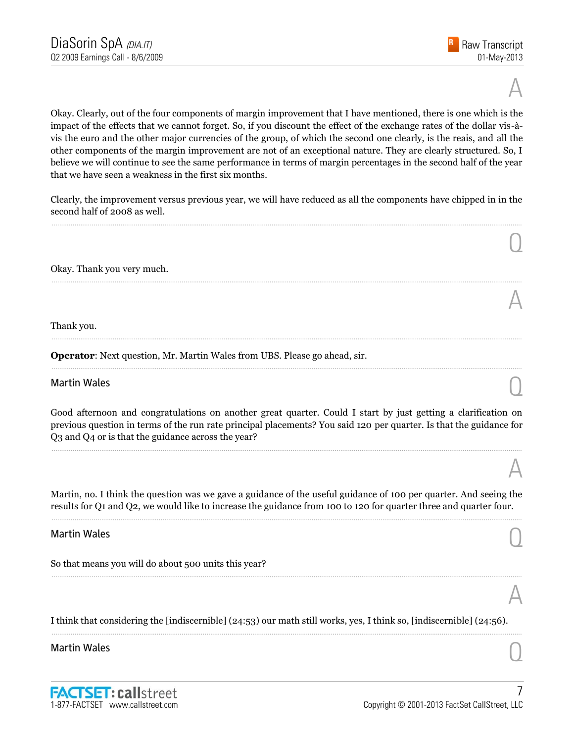$\overline{O}$ 

A

A

A

Okay. Clearly, out of the four components of margin improvement that I have mentioned, there is one which is the impact of the effects that we cannot forget. So, if you discount the effect of the exchange rates of the dollar vis-àvis the euro and the other major currencies of the group, of which the second one clearly, is the reais, and all the other components of the margin improvement are not of an exceptional nature. They are clearly structured. So, I believe we will continue to see the same performance in terms of margin percentages in the second half of the year that we have seen a weakness in the first six months.

Clearly, the improvement versus previous year, we will have reduced as all the components have chipped in in the second half of 2008 as well. ......................................................................................................................................................................................................................................................

......................................................................................................................................................................................................................................................

......................................................................................................................................................................................................................................................

......................................................................................................................................................................................................................................................

Okay. Thank you very much.

#### Thank you.

**Operator**: Next question, Mr. Martin Wales from UBS. Please go ahead, sir.

# Martin Wales  $\bigcirc$

Good afternoon and congratulations on another great quarter. Could I start by just getting a clarification on previous question in terms of the run rate principal placements? You said 120 per quarter. Is that the guidance for Q3 and Q4 or is that the guidance across the year?

......................................................................................................................................................................................................................................................

Martin, no. I think the question was we gave a guidance of the useful guidance of 100 per quarter. And seeing the results for Q1 and Q2, we would like to increase the guidance from 100 to 120 for quarter three and quarter four. ......................................................................................................................................................................................................................................................

......................................................................................................................................................................................................................................................

# Martin Wales  $\bigcirc$

So that means you will do about 500 units this year?

I think that considering the [indiscernible] (24:53) our math still works, yes, I think so, [indiscernible] (24:56). ......................................................................................................................................................................................................................................................

# Martin Wales  $\bigcirc$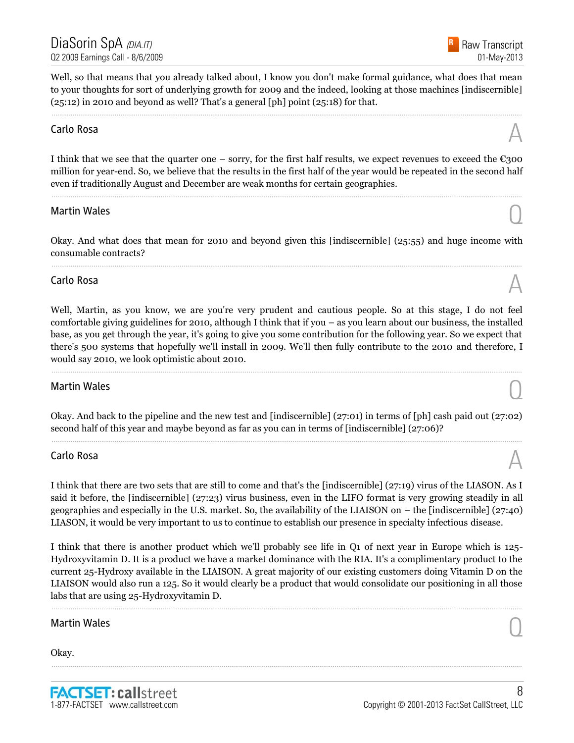Raw Transcript 01-May-2013

Well, so that means that you already talked about, I know you don't make formal guidance, what does that mean to your thoughts for sort of underlying growth for 2009 and the indeed, looking at those machines [indiscernible]  $(25:12)$  in 2010 and beyond as well? That's a general [ph] point  $(25:18)$  for that.

......................................................................................................................................................................................................................................................

# Carlo Rosa  $\mathbb A$

I think that we see that the quarter one – sorry, for the first half results, we expect revenues to exceed the  $\epsilon$ 300 million for year-end. So, we believe that the results in the first half of the year would be repeated in the second half even if traditionally August and December are weak months for certain geographies.

......................................................................................................................................................................................................................................................

# Martin Wales  $\bigcirc$

Okay. And what does that mean for 2010 and beyond given this [indiscernible] (25:55) and huge income with consumable contracts? ......................................................................................................................................................................................................................................................

# Carlo Rosa  $\mathbb A$

Well, Martin, as you know, we are you're very prudent and cautious people. So at this stage, I do not feel comfortable giving guidelines for 2010, although I think that if you – as you learn about our business, the installed base, as you get through the year, it's going to give you some contribution for the following year. So we expect that there's 500 systems that hopefully we'll install in 2009. We'll then fully contribute to the 2010 and therefore, I would say 2010, we look optimistic about 2010.

......................................................................................................................................................................................................................................................

# Martin Wales  $\bigcirc$

Okay. And back to the pipeline and the new test and [indiscernible] (27:01) in terms of [ph] cash paid out (27:02) second half of this year and maybe beyond as far as you can in terms of [indiscernible] (27:06)? ......................................................................................................................................................................................................................................................

# Carlo Rosa  $\mathbb A$

I think that there are two sets that are still to come and that's the [indiscernible] (27:19) virus of the LIASON. As I said it before, the [indiscernible] (27:23) virus business, even in the LIFO format is very growing steadily in all geographies and especially in the U.S. market. So, the availability of the LIAISON on – the [indiscernible] (27:40) LIASON, it would be very important to us to continue to establish our presence in specialty infectious disease.

I think that there is another product which we'll probably see life in Q1 of next year in Europe which is 125- Hydroxyvitamin D. It is a product we have a market dominance with the RIA. It's a complimentary product to the current 25-Hydroxy available in the LIAISON. A great majority of our existing customers doing Vitamin D on the LIAISON would also run a 125. So it would clearly be a product that would consolidate our positioning in all those labs that are using 25-Hydroxyvitamin D.

......................................................................................................................................................................................................................................................

......................................................................................................................................................................................................................................................

# Martin Wales  $\bigcirc$

Okay.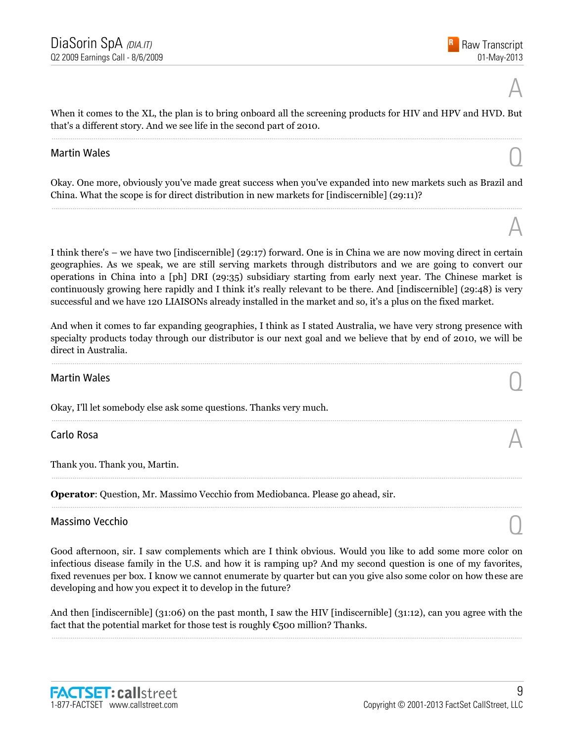A

When it comes to the XL, the plan is to bring onboard all the screening products for HIV and HPV and HVD. But that's a different story. And we see life in the second part of 2010. ......................................................................................................................................................................................................................................................

# Martin Wales  $\bigcirc$

Okay. One more, obviously you've made great success when you've expanded into new markets such as Brazil and China. What the scope is for direct distribution in new markets for  $[indiscernible] (29:11)$ ? ......................................................................................................................................................................................................................................................

I think there's – we have two [indiscernible] (29:17) forward. One is in China we are now moving direct in certain geographies. As we speak, we are still serving markets through distributors and we are going to convert our operations in China into a [ph] DRI (29:35) subsidiary starting from early next year. The Chinese market is continuously growing here rapidly and I think it's really relevant to be there. And [indiscernible] (29:48) is very successful and we have 120 LIAISONs already installed in the market and so, it's a plus on the fixed market.

And when it comes to far expanding geographies, I think as I stated Australia, we have very strong presence with specialty products today through our distributor is our next goal and we believe that by end of 2010, we will be direct in Australia.

......................................................................................................................................................................................................................................................

......................................................................................................................................................................................................................................................

......................................................................................................................................................................................................................................................

......................................................................................................................................................................................................................................................

# Martin Wales  $\bigcirc$

Okay, I'll let somebody else ask some questions. Thanks very much.

# Carlo Rosa  $\mathbb A$

Thank you. Thank you, Martin.

**Operator**: Question, Mr. Massimo Vecchio from Mediobanca. Please go ahead, sir.

# Massimo Vecchio Quanti all'estimato di un controllo di un controllo di un controllo di un controllo di un controllo di un controllo di un controllo di un controllo di un controllo di un controllo di un controllo di un cont

Good afternoon, sir. I saw complements which are I think obvious. Would you like to add some more color on infectious disease family in the U.S. and how it is ramping up? And my second question is one of my favorites, fixed revenues per box. I know we cannot enumerate by quarter but can you give also some color on how these are developing and how you expect it to develop in the future?

And then [indiscernible] (31:06) on the past month, I saw the HIV [indiscernible] (31:12), can you agree with the fact that the potential market for those test is roughly  $\epsilon$ 500 million? Thanks. ......................................................................................................................................................................................................................................................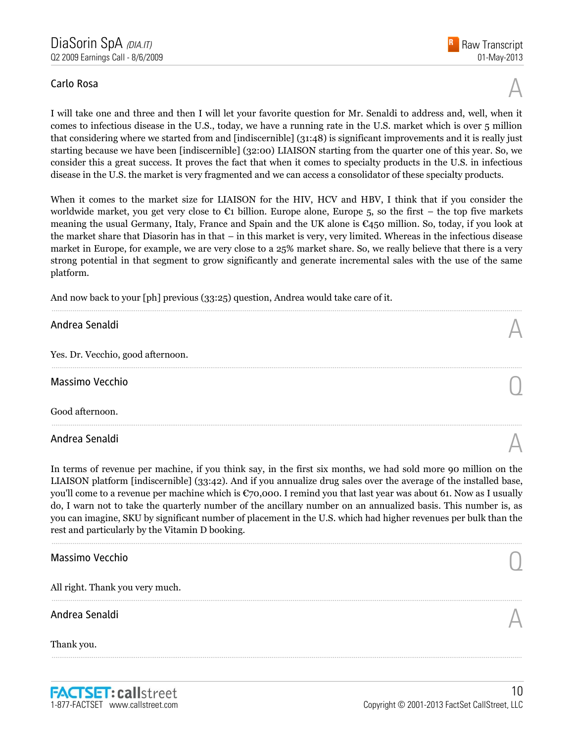# Carlo Rosa  $\mathbb A$

I will take one and three and then I will let your favorite question for Mr. Senaldi to address and, well, when it comes to infectious disease in the U.S., today, we have a running rate in the U.S. market which is over 5 million that considering where we started from and [indiscernible] (31:48) is significant improvements and it is really just starting because we have been [indiscernible] (32:00) LIAISON starting from the quarter one of this year. So, we consider this a great success. It proves the fact that when it comes to specialty products in the U.S. in infectious disease in the U.S. the market is very fragmented and we can access a consolidator of these specialty products.

When it comes to the market size for LIAISON for the HIV, HCV and HBV, I think that if you consider the worldwide market, you get very close to  $\mathfrak{C}1$  billion. Europe alone, Europe 5, so the first – the top five markets meaning the usual Germany, Italy, France and Spain and the UK alone is €450 million. So, today, if you look at the market share that Diasorin has in that – in this market is very, very limited. Whereas in the infectious disease market in Europe, for example, we are very close to a 25% market share. So, we really believe that there is a very strong potential in that segment to grow significantly and generate incremental sales with the use of the same platform.

......................................................................................................................................................................................................................................................

......................................................................................................................................................................................................................................................

......................................................................................................................................................................................................................................................

And now back to your [ph] previous (33:25) question, Andrea would take care of it.

# Andrea Senaldi  $\mathbb A$

Yes. Dr. Vecchio, good afternoon.

Massimo Vecchio Quando de Santo Constituito de Santo Constituito de Santo Constituito de Santo Constituito de S<br>O constituito de Santo Constituito de Santo Constituito de Santo Constituito de Santo Constituito de Santo Con

Good afternoon.

Andrea Senaldi  $\mathbb A$ 

In terms of revenue per machine, if you think say, in the first six months, we had sold more 90 million on the LIAISON platform [indiscernible] (33:42). And if you annualize drug sales over the average of the installed base, you'll come to a revenue per machine which is €70,000. I remind you that last year was about 61. Now as I usually do, I warn not to take the quarterly number of the ancillary number on an annualized basis. This number is, as you can imagine, SKU by significant number of placement in the U.S. which had higher revenues per bulk than the rest and particularly by the Vitamin D booking.

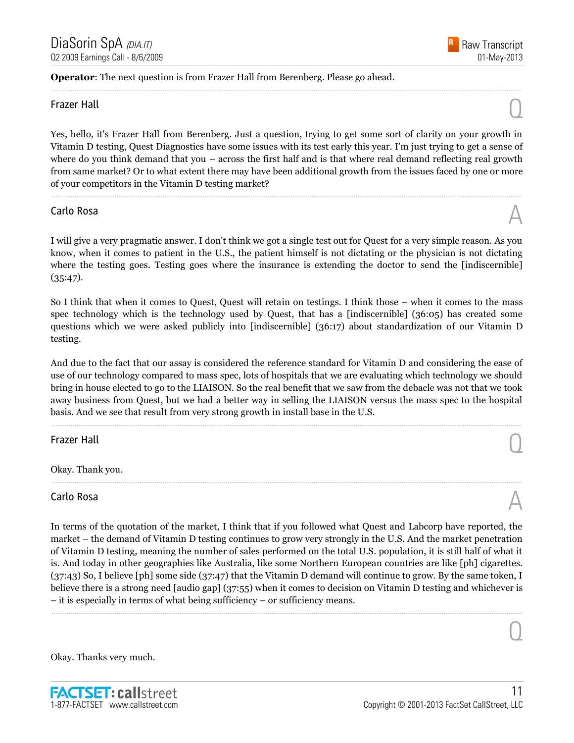#### **Operator**: The next question is from Frazer Hall from Berenberg. Please go ahead.

# Frazer Hall  $\bigcirc$

Yes, hello, it's Frazer Hall from Berenberg. Just a question, trying to get some sort of clarity on your growth in Vitamin D testing, Quest Diagnostics have some issues with its test early this year. I'm just trying to get a sense of where do you think demand that you – across the first half and is that where real demand reflecting real growth from same market? Or to what extent there may have been additional growth from the issues faced by one or more of your competitors in the Vitamin D testing market?

......................................................................................................................................................................................................................................................

......................................................................................................................................................................................................................................................

# Carlo Rosa  $\mathbb A$

I will give a very pragmatic answer. I don't think we got a single test out for Quest for a very simple reason. As you know, when it comes to patient in the U.S., the patient himself is not dictating or the physician is not dictating where the testing goes. Testing goes where the insurance is extending the doctor to send the [indiscernible]  $(35:47)$ .

So I think that when it comes to Quest, Quest will retain on testings. I think those – when it comes to the mass spec technology which is the technology used by Quest, that has a [indiscernible] (36:05) has created some questions which we were asked publicly into [indiscernible] (36:17) about standardization of our Vitamin D testing.

And due to the fact that our assay is considered the reference standard for Vitamin D and considering the ease of use of our technology compared to mass spec, lots of hospitals that we are evaluating which technology we should bring in house elected to go to the LIAISON. So the real benefit that we saw from the debacle was not that we took away business from Quest, but we had a better way in selling the LIAISON versus the mass spec to the hospital basis. And we see that result from very strong growth in install base in the U.S.

......................................................................................................................................................................................................................................................

......................................................................................................................................................................................................................................................

Frazer Hall  $\bigcirc$ 

Okay. Thank you.

# Carlo Rosa  $\mathbb A$

In terms of the quotation of the market, I think that if you followed what Quest and Labcorp have reported, the market – the demand of Vitamin D testing continues to grow very strongly in the U.S. And the market penetration of Vitamin D testing, meaning the number of sales performed on the total U.S. population, it is still half of what it is. And today in other geographies like Australia, like some Northern European countries are like [ph] cigarettes. (37:43) So, I believe [ph] some side (37:47) that the Vitamin D demand will continue to grow. By the same token, I believe there is a strong need [audio gap] (37:55) when it comes to decision on Vitamin D testing and whichever is – it is especially in terms of what being sufficiency – or sufficiency means.

......................................................................................................................................................................................................................................................

Okay. Thanks very much.



 $\overline{O}$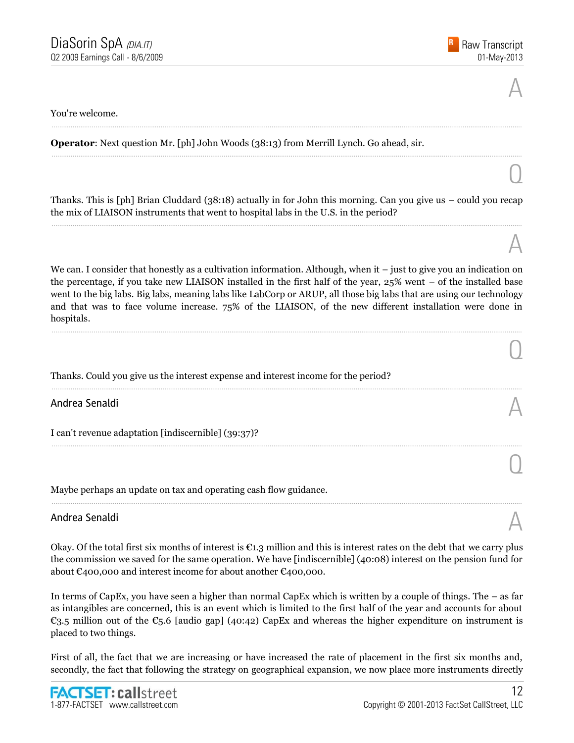$\overline{O}$ 

A

 $\overline{O}$ 

 $\overline{O}$ 

#### You're welcome.

#### **Operator**: Next question Mr. [ph] John Woods (38:13) from Merrill Lynch. Go ahead, sir.

Thanks. This is [ph] Brian Cluddard (38:18) actually in for John this morning. Can you give us – could you recap the mix of LIAISON instruments that went to hospital labs in the U.S. in the period? ......................................................................................................................................................................................................................................................

......................................................................................................................................................................................................................................................

......................................................................................................................................................................................................................................................

We can. I consider that honestly as a cultivation information. Although, when it – just to give you an indication on the percentage, if you take new LIAISON installed in the first half of the year, 25% went – of the installed base went to the big labs. Big labs, meaning labs like LabCorp or ARUP, all those big labs that are using our technology and that was to face volume increase. 75% of the LIAISON, of the new different installation were done in hospitals.

......................................................................................................................................................................................................................................................

......................................................................................................................................................................................................................................................

......................................................................................................................................................................................................................................................

......................................................................................................................................................................................................................................................

Thanks. Could you give us the interest expense and interest income for the period?

Andrea Senaldi  $\mathbb A$ 

I can't revenue adaptation [indiscernible] (39:37)?

Maybe perhaps an update on tax and operating cash flow guidance.

# Andrea Senaldi  $\mathbb A$

Okay. Of the total first six months of interest is  $\epsilon_{1,2}$  million and this is interest rates on the debt that we carry plus the commission we saved for the same operation. We have [indiscernible] (40:08) interest on the pension fund for about €400,000 and interest income for about another €400,000.

In terms of CapEx, you have seen a higher than normal CapEx which is written by a couple of things. The – as far as intangibles are concerned, this is an event which is limited to the first half of the year and accounts for about €3.5 million out of the €5.6 [audio gap] (40:42) CapEx and whereas the higher expenditure on instrument is placed to two things.

First of all, the fact that we are increasing or have increased the rate of placement in the first six months and, secondly, the fact that following the strategy on geographical expansion, we now place more instruments directly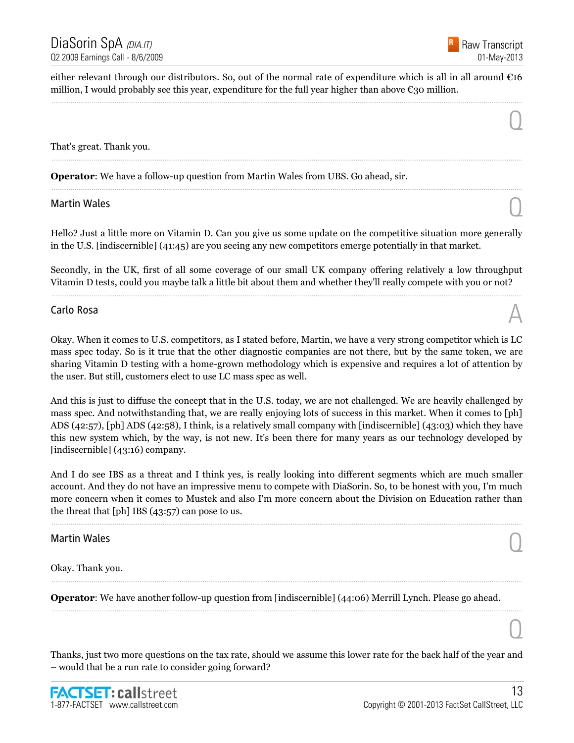

 $\overline{O}$ 

either relevant through our distributors. So, out of the normal rate of expenditure which is all in all around  $\epsilon$ 16 million, I would probably see this year, expenditure for the full year higher than above  $\mathfrak{C}$ 30 million. ......................................................................................................................................................................................................................................................

......................................................................................................................................................................................................................................................

......................................................................................................................................................................................................................................................

That's great. Thank you.

**Operator**: We have a follow-up question from Martin Wales from UBS. Go ahead, sir.

# Martin Wales  $\bigcirc$

Hello? Just a little more on Vitamin D. Can you give us some update on the competitive situation more generally in the U.S. [indiscernible] (41:45) are you seeing any new competitors emerge potentially in that market.

Secondly, in the UK, first of all some coverage of our small UK company offering relatively a low throughput Vitamin D tests, could you maybe talk a little bit about them and whether they'll really compete with you or not? ......................................................................................................................................................................................................................................................

# Carlo Rosa  $\mathbb A$

Okay. When it comes to U.S. competitors, as I stated before, Martin, we have a very strong competitor which is LC mass spec today. So is it true that the other diagnostic companies are not there, but by the same token, we are sharing Vitamin D testing with a home-grown methodology which is expensive and requires a lot of attention by the user. But still, customers elect to use LC mass spec as well.

And this is just to diffuse the concept that in the U.S. today, we are not challenged. We are heavily challenged by mass spec. And notwithstanding that, we are really enjoying lots of success in this market. When it comes to [ph] ADS (42:57), [ph] ADS (42:58), I think, is a relatively small company with [indiscernible] (43:03) which they have this new system which, by the way, is not new. It's been there for many years as our technology developed by [indiscernible] (43:16) company.

And I do see IBS as a threat and I think yes, is really looking into different segments which are much smaller account. And they do not have an impressive menu to compete with DiaSorin. So, to be honest with you, I'm much more concern when it comes to Mustek and also I'm more concern about the Division on Education rather than the threat that [ph] IBS (43:57) can pose to us.

......................................................................................................................................................................................................................................................

......................................................................................................................................................................................................................................................

......................................................................................................................................................................................................................................................

# Martin Wales  $\bigcirc$

Okay. Thank you.

**Operator**: We have another follow-up question from [indiscernible] (44:06) Merrill Lynch. Please go ahead.

Thanks, just two more questions on the tax rate, should we assume this lower rate for the back half of the year and – would that be a run rate to consider going forward?

 $\overline{0}$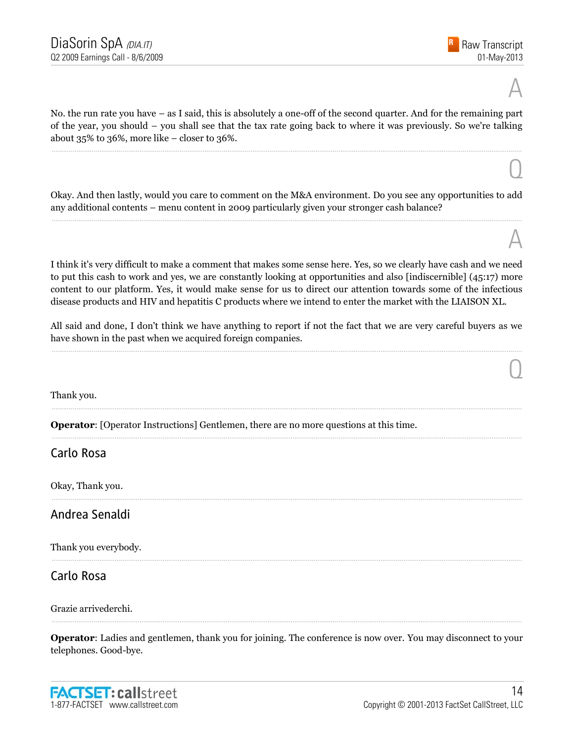$\overline{O}$ 

A

 $\overline{0}$ 

No. the run rate you have – as I said, this is absolutely a one-off of the second quarter. And for the remaining part of the year, you should – you shall see that the tax rate going back to where it was previously. So we're talking about 35% to 36%, more like – closer to 36%.

......................................................................................................................................................................................................................................................

Okay. And then lastly, would you care to comment on the M&A environment. Do you see any opportunities to add any additional contents – menu content in 2009 particularly given your stronger cash balance? ......................................................................................................................................................................................................................................................

I think it's very difficult to make a comment that makes some sense here. Yes, so we clearly have cash and we need to put this cash to work and yes, we are constantly looking at opportunities and also [indiscernible] (45:17) more content to our platform. Yes, it would make sense for us to direct our attention towards some of the infectious disease products and HIV and hepatitis C products where we intend to enter the market with the LIAISON XL.

All said and done, I don't think we have anything to report if not the fact that we are very careful buyers as we have shown in the past when we acquired foreign companies. ......................................................................................................................................................................................................................................................

......................................................................................................................................................................................................................................................

......................................................................................................................................................................................................................................................

......................................................................................................................................................................................................................................................

......................................................................................................................................................................................................................................................

Thank you.

**Operator**: [Operator Instructions] Gentlemen, there are no more questions at this time.

#### Carlo Rosa

Okay, Thank you.

#### Andrea Senaldi

Thank you everybody.

Carlo Rosa

Grazie arrivederchi.

**Operator**: Ladies and gentlemen, thank you for joining. The conference is now over. You may disconnect to your telephones. Good-bye.

......................................................................................................................................................................................................................................................